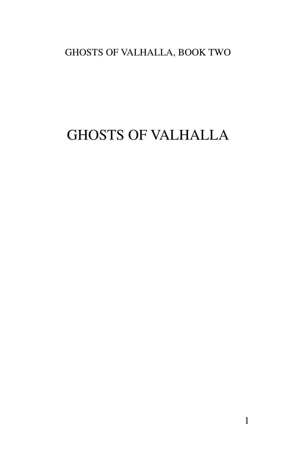# GHOSTS OF VALHALLA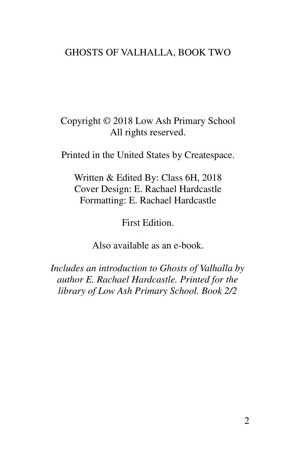Copyright © 2018 Low Ash Primary School All rights reserved.

Printed in the United States by Createspace.

Written & Edited By: Class 6H, 2018 Cover Design: E. Rachael Hardcastle Formatting: E. Rachael Hardcastle

First Edition.

Also available as an e-book.

*Includes an introduction to Ghosts of Valhalla by author E. Rachael Hardcastle. Printed for the library of Low Ash Primary School. Book 2/2*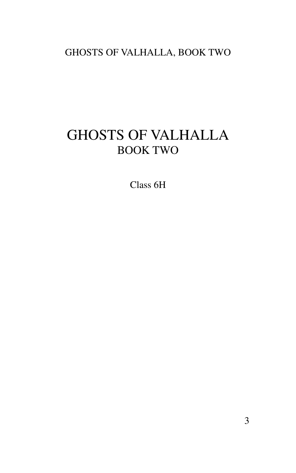# GHOSTS OF VALHALLA BOOK TWO

Class 6H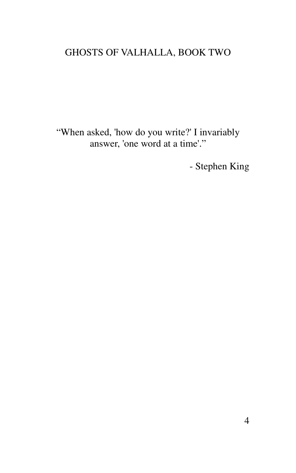"When asked, 'how do you write?' I invariably answer, 'one word at a time'."

- Stephen King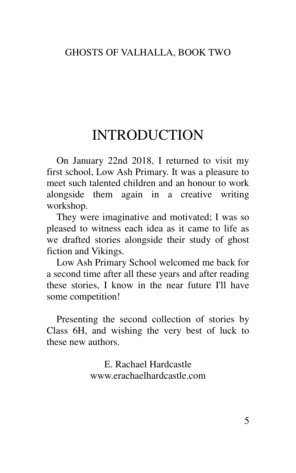## INTRODUCTION

On January 22nd 2018, I returned to visit my first school, Low Ash Primary. It was a pleasure to meet such talented children and an honour to work alongside them again in a creative writing workshop.

They were imaginative and motivated; I was so pleased to witness each idea as it came to life as we drafted stories alongside their study of ghost fiction and Vikings.

Low Ash Primary School welcomed me back for a second time after all these years and after reading these stories, I know in the near future I'll have some competition!

Presenting the second collection of stories by Class 6H, and wishing the very best of luck to these new authors.

> E. Rachael Hardcastle www.erachaelhardcastle.com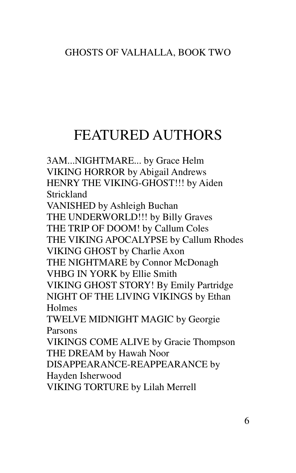# FEATURED AUTHORS

3AM...NIGHTMARE... by Grace Helm VIKING HORROR by Abigail Andrews HENRY THE VIKING-GHOST!!! by Aiden Strickland VANISHED by Ashleigh Buchan THE UNDERWORLD!!! by Billy Graves THE TRIP OF DOOM! by Callum Coles THE VIKING APOCALYPSE by Callum Rhodes VIKING GHOST by Charlie Axon THE NIGHTMARE by Connor McDonagh VHBG IN YORK by Ellie Smith VIKING GHOST STORY! By Emily Partridge NIGHT OF THE LIVING VIKINGS by Ethan Holmes TWELVE MIDNIGHT MAGIC by Georgie Parsons VIKINGS COME ALIVE by Gracie Thompson THE DREAM by Hawah Noor DISAPPEARANCE-REAPPEARANCE by Hayden Isherwood VIKING TORTURE by Lilah Merrell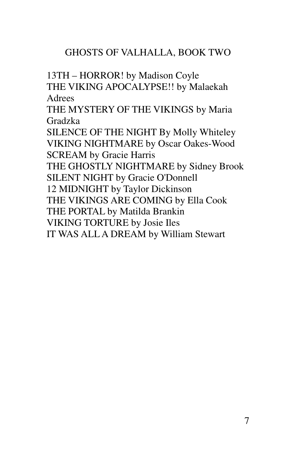13TH – HORROR! by Madison Coyle THE VIKING APOCALYPSE!! by Malaekah Adrees THE MYSTERY OF THE VIKINGS by Maria Gradzka SILENCE OF THE NIGHT By Molly Whiteley VIKING NIGHTMARE by Oscar Oakes-Wood SCREAM by Gracie Harris THE GHOSTLY NIGHTMARE by Sidney Brook SILENT NIGHT by Gracie O'Donnell 12 MIDNIGHT by Taylor Dickinson THE VIKINGS ARE COMING by Ella Cook THE PORTAL by Matilda Brankin VIKING TORTURE by Josie Iles IT WAS ALL A DREAM by William Stewart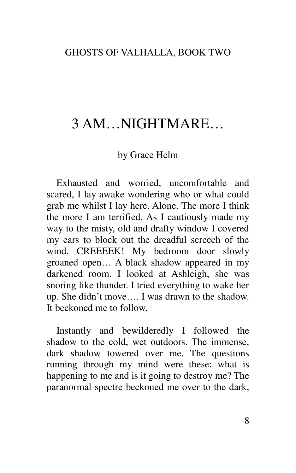# 3 AM…NIGHTMARE…

### by Grace Helm

Exhausted and worried, uncomfortable and scared, I lay awake wondering who or what could grab me whilst I lay here. Alone. The more I think the more I am terrified. As I cautiously made my way to the misty, old and drafty window I covered my ears to block out the dreadful screech of the wind. CREEEEK! My bedroom door slowly groaned open… A black shadow appeared in my darkened room. I looked at Ashleigh, she was snoring like thunder. I tried everything to wake her up. She didn't move…. I was drawn to the shadow. It beckoned me to follow.

Instantly and bewilderedly I followed the shadow to the cold, wet outdoors. The immense, dark shadow towered over me. The questions running through my mind were these: what is happening to me and is it going to destroy me? The paranormal spectre beckoned me over to the dark,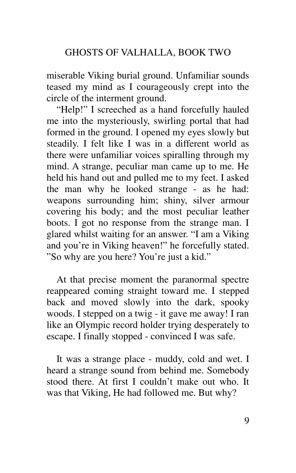miserable Viking burial ground. Unfamiliar sounds teased my mind as I courageously crept into the circle of the interment ground.

"Help!" I screeched as a hand forcefully hauled me into the mysteriously, swirling portal that had formed in the ground. I opened my eyes slowly but steadily. I felt like I was in a different world as there were unfamiliar voices spiralling through my mind. A strange, peculiar man came up to me. He held his hand out and pulled me to my feet. I asked the man why he looked strange - as he had: weapons surrounding him; shiny, silver armour covering his body; and the most peculiar leather boots. I got no response from the strange man. I glared whilst waiting for an answer. "I am a Viking and you're in Viking heaven!" he forcefully stated. "So why are you here? You're just a kid."

At that precise moment the paranormal spectre reappeared coming straight toward me. I stepped back and moved slowly into the dark, spooky woods. I stepped on a twig - it gave me away! I ran like an Olympic record holder trying desperately to escape. I finally stopped - convinced I was safe.

It was a strange place - muddy, cold and wet. I heard a strange sound from behind me. Somebody stood there. At first I couldn't make out who. It was that Viking, He had followed me. But why?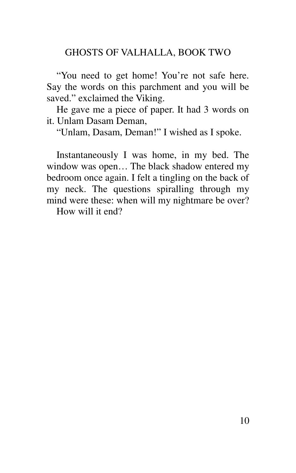"You need to get home! You're not safe here. Say the words on this parchment and you will be saved." exclaimed the Viking.

He gave me a piece of paper. It had 3 words on it. Unlam Dasam Deman,

"Unlam, Dasam, Deman!" I wished as I spoke.

Instantaneously I was home, in my bed. The window was open… The black shadow entered my bedroom once again. I felt a tingling on the back of my neck. The questions spiralling through my mind were these: when will my nightmare be over?

How will it end?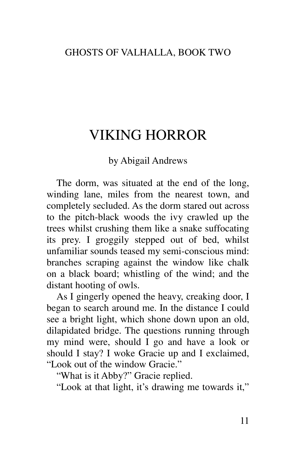# VIKING HORROR

### by Abigail Andrews

The dorm, was situated at the end of the long, winding lane, miles from the nearest town, and completely secluded. As the dorm stared out across to the pitch-black woods the ivy crawled up the trees whilst crushing them like a snake suffocating its prey. I groggily stepped out of bed, whilst unfamiliar sounds teased my semi-conscious mind: branches scraping against the window like chalk on a black board; whistling of the wind; and the distant hooting of owls.

As I gingerly opened the heavy, creaking door, I began to search around me. In the distance I could see a bright light, which shone down upon an old, dilapidated bridge. The questions running through my mind were, should I go and have a look or should I stay? I woke Gracie up and I exclaimed, "Look out of the window Gracie."

"What is it Abby?" Gracie replied.

"Look at that light, it's drawing me towards it,"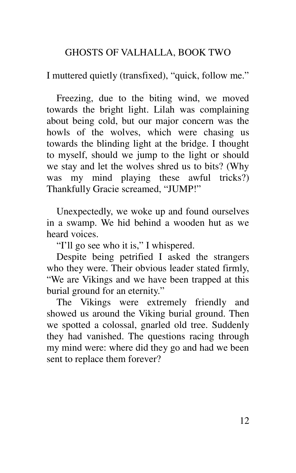I muttered quietly (transfixed), "quick, follow me."

Freezing, due to the biting wind, we moved towards the bright light. Lilah was complaining about being cold, but our major concern was the howls of the wolves, which were chasing us towards the blinding light at the bridge. I thought to myself, should we jump to the light or should we stay and let the wolves shred us to bits? (Why was my mind playing these awful tricks?) Thankfully Gracie screamed, "JUMP!"

Unexpectedly, we woke up and found ourselves in a swamp. We hid behind a wooden hut as we heard voices.

"I'll go see who it is," I whispered.

Despite being petrified I asked the strangers who they were. Their obvious leader stated firmly, "We are Vikings and we have been trapped at this burial ground for an eternity."

The Vikings were extremely friendly and showed us around the Viking burial ground. Then we spotted a colossal, gnarled old tree. Suddenly they had vanished. The questions racing through my mind were: where did they go and had we been sent to replace them forever?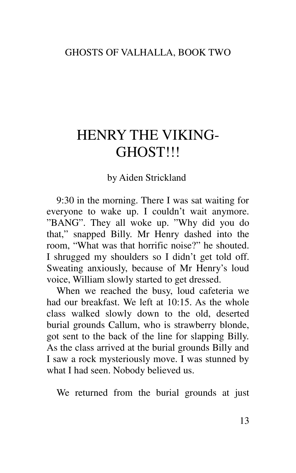# HENRY THE VIKING-GHOST!!!

by Aiden Strickland

9:30 in the morning. There I was sat waiting for everyone to wake up. I couldn't wait anymore. "BANG". They all woke up. "Why did you do that," snapped Billy. Mr Henry dashed into the room, "What was that horrific noise?" he shouted. I shrugged my shoulders so I didn't get told off. Sweating anxiously, because of Mr Henry's loud voice, William slowly started to get dressed.

When we reached the busy, loud cafeteria we had our breakfast. We left at 10:15. As the whole class walked slowly down to the old, deserted burial grounds Callum, who is strawberry blonde, got sent to the back of the line for slapping Billy. As the class arrived at the burial grounds Billy and I saw a rock mysteriously move. I was stunned by what I had seen. Nobody believed us.

We returned from the burial grounds at just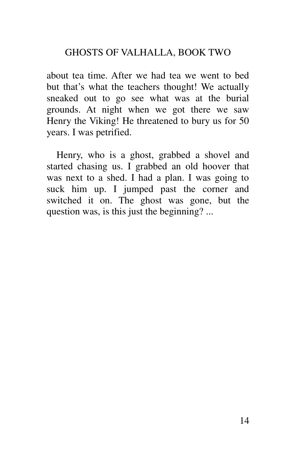about tea time. After we had tea we went to bed but that's what the teachers thought! We actually sneaked out to go see what was at the burial grounds. At night when we got there we saw Henry the Viking! He threatened to bury us for 50 years. I was petrified.

Henry, who is a ghost, grabbed a shovel and started chasing us. I grabbed an old hoover that was next to a shed. I had a plan. I was going to suck him up. I jumped past the corner and switched it on. The ghost was gone, but the question was, is this just the beginning? ...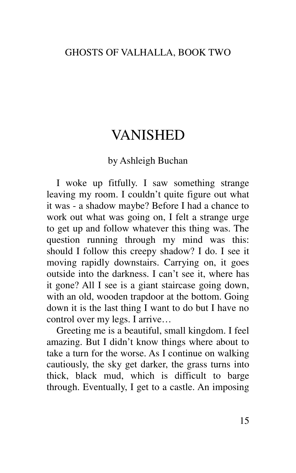# VANISHED

### by Ashleigh Buchan

I woke up fitfully. I saw something strange leaving my room. I couldn't quite figure out what it was - a shadow maybe? Before I had a chance to work out what was going on, I felt a strange urge to get up and follow whatever this thing was. The question running through my mind was this: should I follow this creepy shadow? I do. I see it moving rapidly downstairs. Carrying on, it goes outside into the darkness. I can't see it, where has it gone? All I see is a giant staircase going down, with an old, wooden trapdoor at the bottom. Going down it is the last thing I want to do but I have no control over my legs. I arrive…

Greeting me is a beautiful, small kingdom. I feel amazing. But I didn't know things where about to take a turn for the worse. As I continue on walking cautiously, the sky get darker, the grass turns into thick, black mud, which is difficult to barge through. Eventually, I get to a castle. An imposing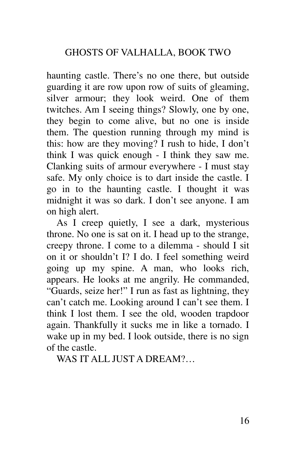haunting castle. There's no one there, but outside guarding it are row upon row of suits of gleaming, silver armour; they look weird. One of them twitches. Am I seeing things? Slowly, one by one, they begin to come alive, but no one is inside them. The question running through my mind is this: how are they moving? I rush to hide, I don't think I was quick enough - I think they saw me. Clanking suits of armour everywhere - I must stay safe. My only choice is to dart inside the castle. I go in to the haunting castle. I thought it was midnight it was so dark. I don't see anyone. I am on high alert.

As I creep quietly, I see a dark, mysterious throne. No one is sat on it. I head up to the strange, creepy throne. I come to a dilemma - should I sit on it or shouldn't I? I do. I feel something weird going up my spine. A man, who looks rich, appears. He looks at me angrily. He commanded, "Guards, seize her!" I run as fast as lightning, they can't catch me. Looking around I can't see them. I think I lost them. I see the old, wooden trapdoor again. Thankfully it sucks me in like a tornado. I wake up in my bed. I look outside, there is no sign of the castle.

WAS IT ALL JUST A DREAM?…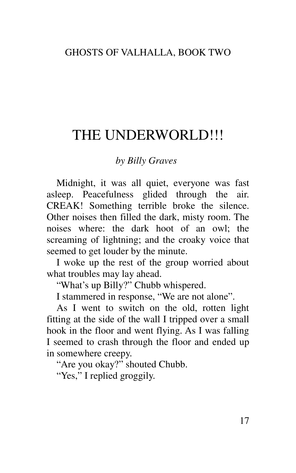# THE UNDERWORLD!!!

### *by Billy Graves*

Midnight, it was all quiet, everyone was fast asleep. Peacefulness glided through the air. CREAK! Something terrible broke the silence. Other noises then filled the dark, misty room. The noises where: the dark hoot of an owl; the screaming of lightning; and the croaky voice that seemed to get louder by the minute.

I woke up the rest of the group worried about what troubles may lay ahead.

"What's up Billy?" Chubb whispered.

I stammered in response, "We are not alone".

As I went to switch on the old, rotten light fitting at the side of the wall I tripped over a small hook in the floor and went flying. As I was falling I seemed to crash through the floor and ended up in somewhere creepy.

"Are you okay?" shouted Chubb.

"Yes," I replied groggily.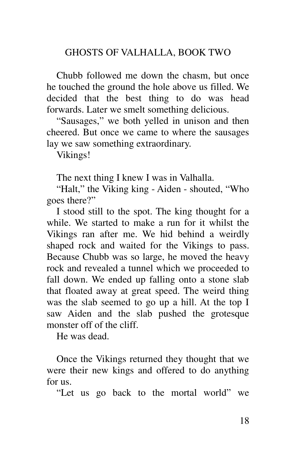Chubb followed me down the chasm, but once he touched the ground the hole above us filled. We decided that the best thing to do was head forwards. Later we smelt something delicious.

"Sausages," we both yelled in unison and then cheered. But once we came to where the sausages lay we saw something extraordinary.

Vikings!

The next thing I knew I was in Valhalla.

"Halt," the Viking king - Aiden - shouted, "Who goes there?"

I stood still to the spot. The king thought for a while. We started to make a run for it whilst the Vikings ran after me. We hid behind a weirdly shaped rock and waited for the Vikings to pass. Because Chubb was so large, he moved the heavy rock and revealed a tunnel which we proceeded to fall down. We ended up falling onto a stone slab that floated away at great speed. The weird thing was the slab seemed to go up a hill. At the top I saw Aiden and the slab pushed the grotesque monster off of the cliff.

He was dead.

Once the Vikings returned they thought that we were their new kings and offered to do anything for us.

"Let us go back to the mortal world" we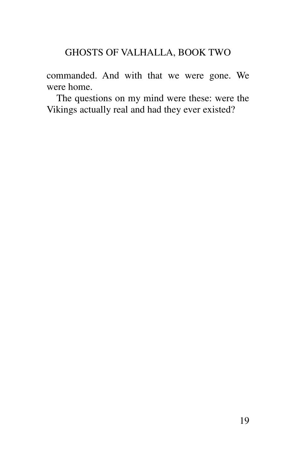commanded. And with that we were gone. We were home.

The questions on my mind were these: were the Vikings actually real and had they ever existed?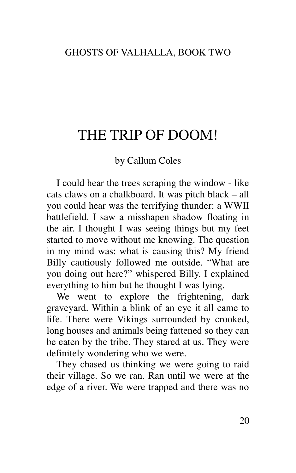# THE TRIP OF DOOM!

### by Callum Coles

I could hear the trees scraping the window - like cats claws on a chalkboard. It was pitch black – all you could hear was the terrifying thunder: a WWII battlefield. I saw a misshapen shadow floating in the air. I thought I was seeing things but my feet started to move without me knowing. The question in my mind was: what is causing this? My friend Billy cautiously followed me outside. "What are you doing out here?" whispered Billy. I explained everything to him but he thought I was lying.

We went to explore the frightening, dark graveyard. Within a blink of an eye it all came to life. There were Vikings surrounded by crooked, long houses and animals being fattened so they can be eaten by the tribe. They stared at us. They were definitely wondering who we were.

They chased us thinking we were going to raid their village. So we ran. Ran until we were at the edge of a river. We were trapped and there was no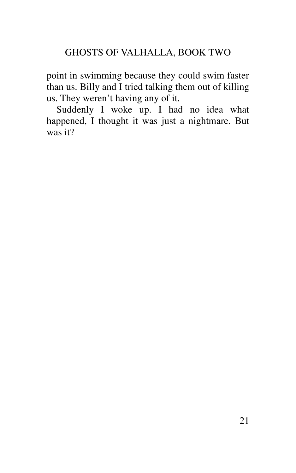point in swimming because they could swim faster than us. Billy and I tried talking them out of killing us. They weren't having any of it.

Suddenly I woke up. I had no idea what happened, I thought it was just a nightmare. But was it?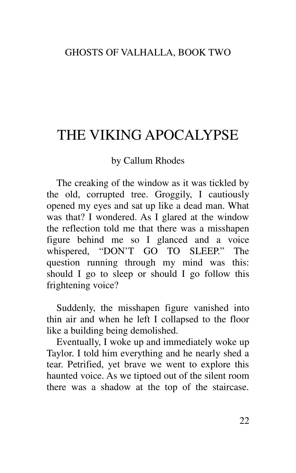# THE VIKING APOCALYPSE

### by Callum Rhodes

The creaking of the window as it was tickled by the old, corrupted tree. Groggily, I cautiously opened my eyes and sat up like a dead man. What was that? I wondered. As I glared at the window the reflection told me that there was a misshapen figure behind me so I glanced and a voice whispered, "DON'T GO TO SLEEP." The question running through my mind was this: should I go to sleep or should I go follow this frightening voice?

Suddenly, the misshapen figure vanished into thin air and when he left I collapsed to the floor like a building being demolished.

Eventually, I woke up and immediately woke up Taylor. I told him everything and he nearly shed a tear. Petrified, yet brave we went to explore this haunted voice. As we tiptoed out of the silent room there was a shadow at the top of the staircase.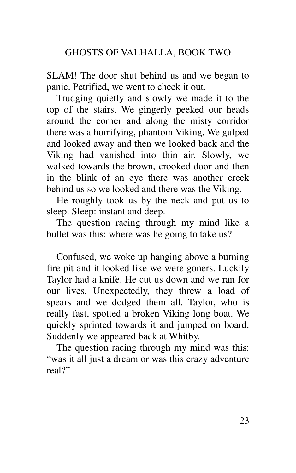SLAM! The door shut behind us and we began to panic. Petrified, we went to check it out.

Trudging quietly and slowly we made it to the top of the stairs. We gingerly peeked our heads around the corner and along the misty corridor there was a horrifying, phantom Viking. We gulped and looked away and then we looked back and the Viking had vanished into thin air. Slowly, we walked towards the brown, crooked door and then in the blink of an eye there was another creek behind us so we looked and there was the Viking.

He roughly took us by the neck and put us to sleep. Sleep: instant and deep.

The question racing through my mind like a bullet was this: where was he going to take us?

Confused, we woke up hanging above a burning fire pit and it looked like we were goners. Luckily Taylor had a knife. He cut us down and we ran for our lives. Unexpectedly, they threw a load of spears and we dodged them all. Taylor, who is really fast, spotted a broken Viking long boat. We quickly sprinted towards it and jumped on board. Suddenly we appeared back at Whitby.

The question racing through my mind was this: "was it all just a dream or was this crazy adventure real?"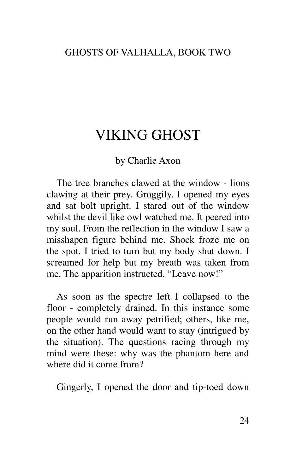# VIKING GHOST

#### by Charlie Axon

The tree branches clawed at the window - lions clawing at their prey. Groggily, I opened my eyes and sat bolt upright. I stared out of the window whilst the devil like owl watched me. It peered into my soul. From the reflection in the window I saw a misshapen figure behind me. Shock froze me on the spot. I tried to turn but my body shut down. I screamed for help but my breath was taken from me. The apparition instructed, "Leave now!"

As soon as the spectre left I collapsed to the floor - completely drained. In this instance some people would run away petrified; others, like me, on the other hand would want to stay (intrigued by the situation). The questions racing through my mind were these: why was the phantom here and where did it come from?

Gingerly, I opened the door and tip-toed down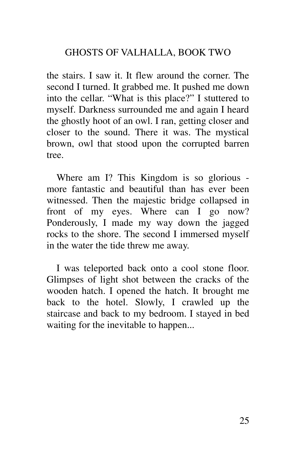the stairs. I saw it. It flew around the corner. The second I turned. It grabbed me. It pushed me down into the cellar. "What is this place?" I stuttered to myself. Darkness surrounded me and again I heard the ghostly hoot of an owl. I ran, getting closer and closer to the sound. There it was. The mystical brown, owl that stood upon the corrupted barren tree.

Where am I? This Kingdom is so glorious more fantastic and beautiful than has ever been witnessed. Then the majestic bridge collapsed in front of my eyes. Where can I go now? Ponderously, I made my way down the jagged rocks to the shore. The second I immersed myself in the water the tide threw me away.

I was teleported back onto a cool stone floor. Glimpses of light shot between the cracks of the wooden hatch. I opened the hatch. It brought me back to the hotel. Slowly, I crawled up the staircase and back to my bedroom. I stayed in bed waiting for the inevitable to happen...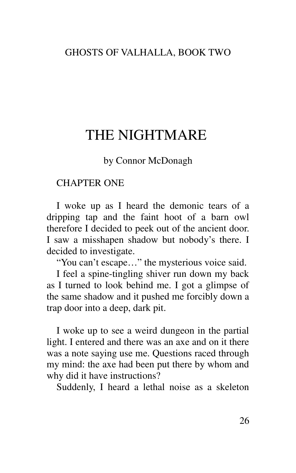## THE NIGHTMARE

by Connor McDonagh

#### CHAPTER ONE

I woke up as I heard the demonic tears of a dripping tap and the faint hoot of a barn owl therefore I decided to peek out of the ancient door. I saw a misshapen shadow but nobody's there. I decided to investigate.

"You can't escape…" the mysterious voice said.

I feel a spine-tingling shiver run down my back as I turned to look behind me. I got a glimpse of the same shadow and it pushed me forcibly down a trap door into a deep, dark pit.

I woke up to see a weird dungeon in the partial light. I entered and there was an axe and on it there was a note saying use me. Questions raced through my mind: the axe had been put there by whom and why did it have instructions?

Suddenly, I heard a lethal noise as a skeleton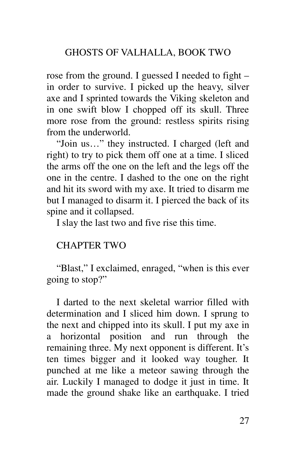rose from the ground. I guessed I needed to fight – in order to survive. I picked up the heavy, silver axe and I sprinted towards the Viking skeleton and in one swift blow I chopped off its skull. Three more rose from the ground: restless spirits rising from the underworld.

"Join us…" they instructed. I charged (left and right) to try to pick them off one at a time. I sliced the arms off the one on the left and the legs off the one in the centre. I dashed to the one on the right and hit its sword with my axe. It tried to disarm me but I managed to disarm it. I pierced the back of its spine and it collapsed.

I slay the last two and five rise this time.

### CHAPTER TWO

"Blast," I exclaimed, enraged, "when is this ever going to stop?"

I darted to the next skeletal warrior filled with determination and I sliced him down. I sprung to the next and chipped into its skull. I put my axe in a horizontal position and run through the remaining three. My next opponent is different. It's ten times bigger and it looked way tougher. It punched at me like a meteor sawing through the air. Luckily I managed to dodge it just in time. It made the ground shake like an earthquake. I tried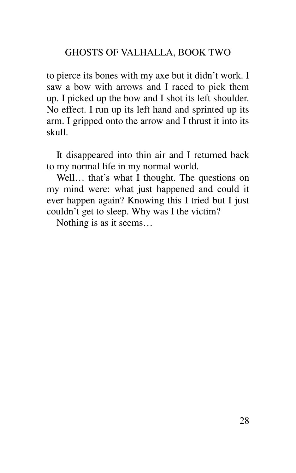to pierce its bones with my axe but it didn't work. I saw a bow with arrows and I raced to pick them up. I picked up the bow and I shot its left shoulder. No effect. I run up its left hand and sprinted up its arm. I gripped onto the arrow and I thrust it into its skull.

It disappeared into thin air and I returned back to my normal life in my normal world.

Well... that's what I thought. The questions on my mind were: what just happened and could it ever happen again? Knowing this I tried but I just couldn't get to sleep. Why was I the victim?

Nothing is as it seems…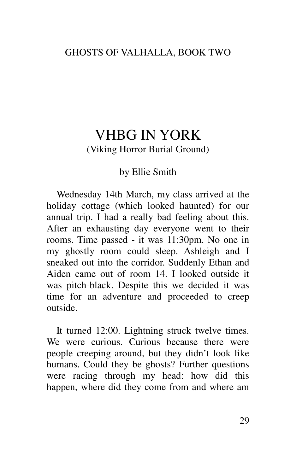## VHBG IN YORK (Viking Horror Burial Ground)

### by Ellie Smith

Wednesday 14th March, my class arrived at the holiday cottage (which looked haunted) for our annual trip. I had a really bad feeling about this. After an exhausting day everyone went to their rooms. Time passed - it was 11:30pm. No one in my ghostly room could sleep. Ashleigh and I sneaked out into the corridor. Suddenly Ethan and Aiden came out of room 14. I looked outside it was pitch-black. Despite this we decided it was time for an adventure and proceeded to creep outside.

It turned 12:00. Lightning struck twelve times. We were curious. Curious because there were people creeping around, but they didn't look like humans. Could they be ghosts? Further questions were racing through my head: how did this happen, where did they come from and where am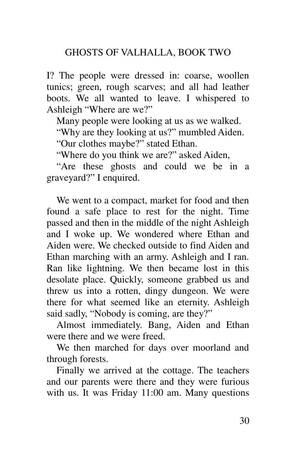I? The people were dressed in: coarse, woollen tunics; green, rough scarves; and all had leather boots. We all wanted to leave. I whispered to Ashleigh "Where are we?"

Many people were looking at us as we walked.

"Why are they looking at us?" mumbled Aiden.

"Our clothes maybe?" stated Ethan.

"Where do you think we are?" asked Aiden,

"Are these ghosts and could we be in a graveyard?" I enquired.

We went to a compact, market for food and then found a safe place to rest for the night. Time passed and then in the middle of the night Ashleigh and I woke up. We wondered where Ethan and Aiden were. We checked outside to find Aiden and Ethan marching with an army. Ashleigh and I ran. Ran like lightning. We then became lost in this desolate place. Quickly, someone grabbed us and threw us into a rotten, dingy dungeon. We were there for what seemed like an eternity. Ashleigh said sadly, "Nobody is coming, are they?"

Almost immediately. Bang, Aiden and Ethan were there and we were freed.

We then marched for days over moorland and through forests.

Finally we arrived at the cottage. The teachers and our parents were there and they were furious with us. It was Friday 11:00 am. Many questions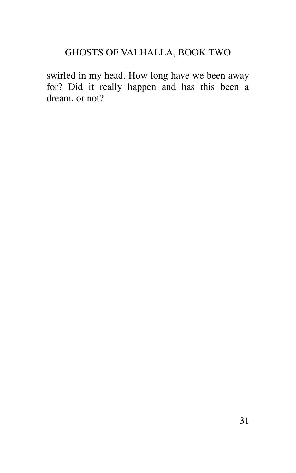swirled in my head. How long have we been away for? Did it really happen and has this been a dream, or not?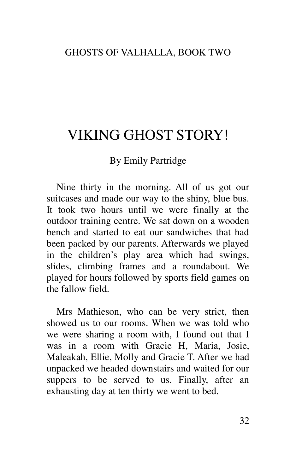# VIKING GHOST STORY!

### By Emily Partridge

Nine thirty in the morning. All of us got our suitcases and made our way to the shiny, blue bus. It took two hours until we were finally at the outdoor training centre. We sat down on a wooden bench and started to eat our sandwiches that had been packed by our parents. Afterwards we played in the children's play area which had swings, slides, climbing frames and a roundabout. We played for hours followed by sports field games on the fallow field.

Mrs Mathieson, who can be very strict, then showed us to our rooms. When we was told who we were sharing a room with, I found out that I was in a room with Gracie H, Maria, Josie, Maleakah, Ellie, Molly and Gracie T. After we had unpacked we headed downstairs and waited for our suppers to be served to us. Finally, after an exhausting day at ten thirty we went to bed.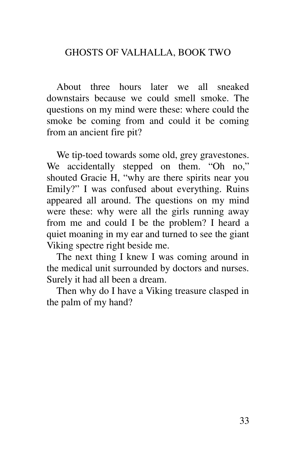About three hours later we all sneaked downstairs because we could smell smoke. The questions on my mind were these: where could the smoke be coming from and could it be coming from an ancient fire pit?

We tip-toed towards some old, grey gravestones. We accidentally stepped on them. "Oh no," shouted Gracie H, "why are there spirits near you Emily?" I was confused about everything. Ruins appeared all around. The questions on my mind were these: why were all the girls running away from me and could I be the problem? I heard a quiet moaning in my ear and turned to see the giant Viking spectre right beside me.

The next thing I knew I was coming around in the medical unit surrounded by doctors and nurses. Surely it had all been a dream.

Then why do I have a Viking treasure clasped in the palm of my hand?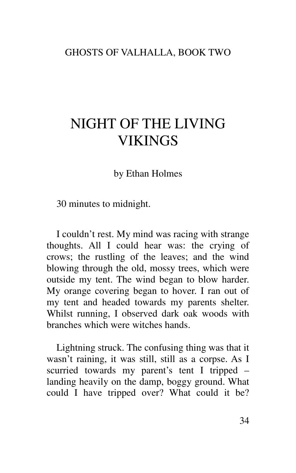# NIGHT OF THE LIVING **VIKINGS**

by Ethan Holmes

30 minutes to midnight.

I couldn't rest. My mind was racing with strange thoughts. All I could hear was: the crying of crows; the rustling of the leaves; and the wind blowing through the old, mossy trees, which were outside my tent. The wind began to blow harder. My orange covering began to hover. I ran out of my tent and headed towards my parents shelter. Whilst running, I observed dark oak woods with branches which were witches hands.

Lightning struck. The confusing thing was that it wasn't raining, it was still, still as a corpse. As I scurried towards my parent's tent I tripped – landing heavily on the damp, boggy ground. What could I have tripped over? What could it be?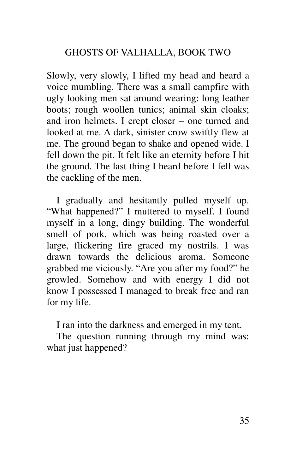Slowly, very slowly, I lifted my head and heard a voice mumbling. There was a small campfire with ugly looking men sat around wearing: long leather boots; rough woollen tunics; animal skin cloaks; and iron helmets. I crept closer – one turned and looked at me. A dark, sinister crow swiftly flew at me. The ground began to shake and opened wide. I fell down the pit. It felt like an eternity before I hit the ground. The last thing I heard before I fell was the cackling of the men.

I gradually and hesitantly pulled myself up. "What happened?" I muttered to myself. I found myself in a long, dingy building. The wonderful smell of pork, which was being roasted over a large, flickering fire graced my nostrils. I was drawn towards the delicious aroma. Someone grabbed me viciously. "Are you after my food?" he growled. Somehow and with energy I did not know I possessed I managed to break free and ran for my life.

I ran into the darkness and emerged in my tent.

The question running through my mind was: what just happened?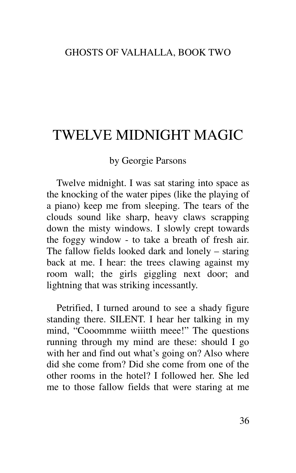# TWELVE MIDNIGHT MAGIC

#### by Georgie Parsons

Twelve midnight. I was sat staring into space as the knocking of the water pipes (like the playing of a piano) keep me from sleeping. The tears of the clouds sound like sharp, heavy claws scrapping down the misty windows. I slowly crept towards the foggy window - to take a breath of fresh air. The fallow fields looked dark and lonely – staring back at me. I hear: the trees clawing against my room wall; the girls giggling next door; and lightning that was striking incessantly.

Petrified, I turned around to see a shady figure standing there. SILENT. I hear her talking in my mind, "Cooommme wiiitth meee!" The questions running through my mind are these: should I go with her and find out what's going on? Also where did she come from? Did she come from one of the other rooms in the hotel? I followed her. She led me to those fallow fields that were staring at me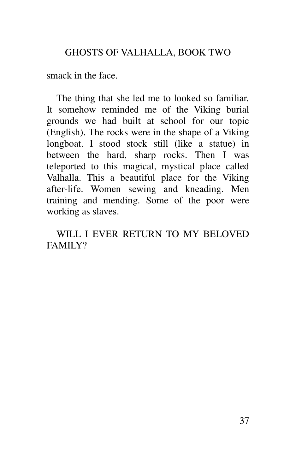smack in the face.

The thing that she led me to looked so familiar. It somehow reminded me of the Viking burial grounds we had built at school for our topic (English). The rocks were in the shape of a Viking longboat. I stood stock still (like a statue) in between the hard, sharp rocks. Then I was teleported to this magical, mystical place called Valhalla. This a beautiful place for the Viking after-life. Women sewing and kneading. Men training and mending. Some of the poor were working as slaves.

WILL I EVER RETURN TO MY BELOVED FAMILY?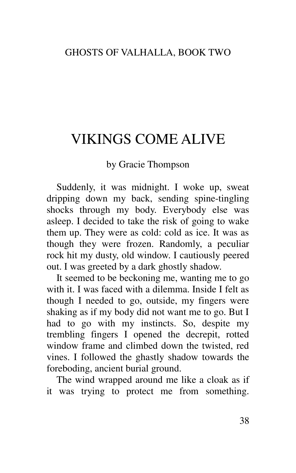# VIKINGS COME ALIVE

### by Gracie Thompson

Suddenly, it was midnight. I woke up, sweat dripping down my back, sending spine-tingling shocks through my body. Everybody else was asleep. I decided to take the risk of going to wake them up. They were as cold: cold as ice. It was as though they were frozen. Randomly, a peculiar rock hit my dusty, old window. I cautiously peered out. I was greeted by a dark ghostly shadow.

It seemed to be beckoning me, wanting me to go with it. I was faced with a dilemma. Inside I felt as though I needed to go, outside, my fingers were shaking as if my body did not want me to go. But I had to go with my instincts. So, despite my trembling fingers I opened the decrepit, rotted window frame and climbed down the twisted, red vines. I followed the ghastly shadow towards the foreboding, ancient burial ground.

The wind wrapped around me like a cloak as if it was trying to protect me from something.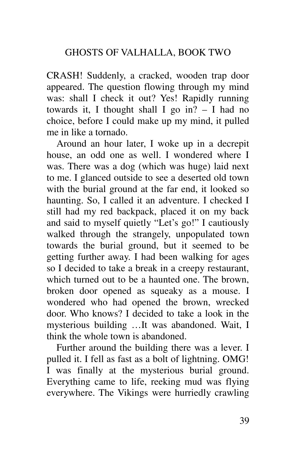CRASH! Suddenly, a cracked, wooden trap door appeared. The question flowing through my mind was: shall I check it out? Yes! Rapidly running towards it, I thought shall I go in? – I had no choice, before I could make up my mind, it pulled me in like a tornado.

Around an hour later, I woke up in a decrepit house, an odd one as well. I wondered where I was. There was a dog (which was huge) laid next to me. I glanced outside to see a deserted old town with the burial ground at the far end, it looked so haunting. So, I called it an adventure. I checked I still had my red backpack, placed it on my back and said to myself quietly "Let's go!" I cautiously walked through the strangely, unpopulated town towards the burial ground, but it seemed to be getting further away. I had been walking for ages so I decided to take a break in a creepy restaurant, which turned out to be a haunted one. The brown, broken door opened as squeaky as a mouse. I wondered who had opened the brown, wrecked door. Who knows? I decided to take a look in the mysterious building …It was abandoned. Wait, I think the whole town is abandoned.

Further around the building there was a lever. I pulled it. I fell as fast as a bolt of lightning. OMG! I was finally at the mysterious burial ground. Everything came to life, reeking mud was flying everywhere. The Vikings were hurriedly crawling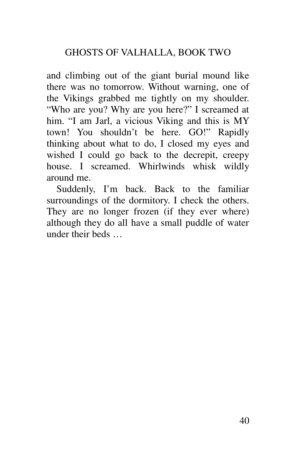and climbing out of the giant burial mound like there was no tomorrow. Without warning, one of the Vikings grabbed me tightly on my shoulder. "Who are you? Why are you here?" I screamed at him. "I am Jarl, a vicious Viking and this is MY town! You shouldn't be here. GO!" Rapidly thinking about what to do, I closed my eyes and wished I could go back to the decrepit, creepy house. I screamed. Whirlwinds whisk wildly around me.

Suddenly, I'm back. Back to the familiar surroundings of the dormitory. I check the others. They are no longer frozen (if they ever where) although they do all have a small puddle of water under their beds …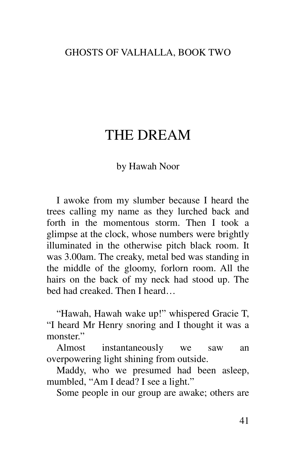### THE DREAM

#### by Hawah Noor

I awoke from my slumber because I heard the trees calling my name as they lurched back and forth in the momentous storm. Then I took a glimpse at the clock, whose numbers were brightly illuminated in the otherwise pitch black room. It was 3.00am. The creaky, metal bed was standing in the middle of the gloomy, forlorn room. All the hairs on the back of my neck had stood up. The bed had creaked. Then I heard…

"Hawah, Hawah wake up!" whispered Gracie T, "I heard Mr Henry snoring and I thought it was a monster."

Almost instantaneously we saw an overpowering light shining from outside.

Maddy, who we presumed had been asleep, mumbled, "Am I dead? I see a light."

Some people in our group are awake; others are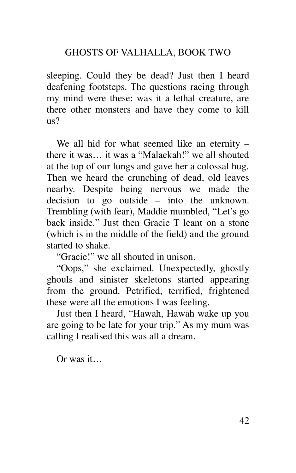sleeping. Could they be dead? Just then I heard deafening footsteps. The questions racing through my mind were these: was it a lethal creature, are there other monsters and have they come to kill  $\text{us}2$ 

We all hid for what seemed like an eternity – there it was… it was a "Malaekah!" we all shouted at the top of our lungs and gave her a colossal hug. Then we heard the crunching of dead, old leaves nearby. Despite being nervous we made the decision to go outside – into the unknown. Trembling (with fear), Maddie mumbled, "Let's go back inside." Just then Gracie T leant on a stone (which is in the middle of the field) and the ground started to shake.

"Gracie!" we all shouted in unison.

"Oops," she exclaimed. Unexpectedly, ghostly ghouls and sinister skeletons started appearing from the ground. Petrified, terrified, frightened these were all the emotions I was feeling.

Just then I heard, "Hawah, Hawah wake up you are going to be late for your trip." As my mum was calling I realised this was all a dream.

 $O<sub>r</sub>$  was it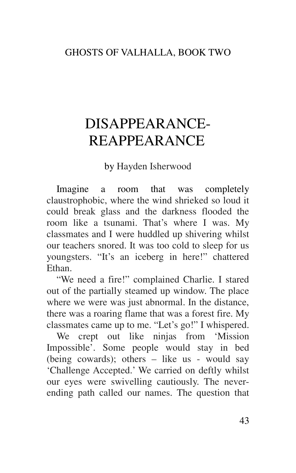# DISAPPEARANCE-REAPPEARANCE

by Hayden Isherwood

Imagine a room that was completely claustrophobic, where the wind shrieked so loud it could break glass and the darkness flooded the room like a tsunami. That's where I was. My classmates and I were huddled up shivering whilst our teachers snored. It was too cold to sleep for us youngsters. "It's an iceberg in here!" chattered Ethan.

"We need a fire!" complained Charlie. I stared out of the partially steamed up window. The place where we were was just abnormal. In the distance, there was a roaring flame that was a forest fire. My classmates came up to me. "Let's go!" I whispered.

We crept out like ninjas from 'Mission Impossible'. Some people would stay in bed (being cowards); others – like us - would say 'Challenge Accepted.' We carried on deftly whilst our eyes were swivelling cautiously. The neverending path called our names. The question that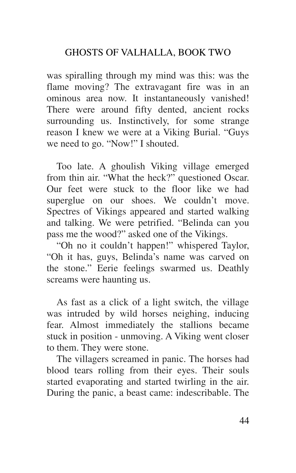was spiralling through my mind was this: was the flame moving? The extravagant fire was in an ominous area now. It instantaneously vanished! There were around fifty dented, ancient rocks surrounding us. Instinctively, for some strange reason I knew we were at a Viking Burial. "Guys we need to go. "Now!" I shouted.

Too late. A ghoulish Viking village emerged from thin air. "What the heck?" questioned Oscar. Our feet were stuck to the floor like we had superglue on our shoes. We couldn't move. Spectres of Vikings appeared and started walking and talking. We were petrified. "Belinda can you pass me the wood?" asked one of the Vikings.

"Oh no it couldn't happen!" whispered Taylor, "Oh it has, guys, Belinda's name was carved on the stone." Eerie feelings swarmed us. Deathly screams were haunting us.

As fast as a click of a light switch, the village was intruded by wild horses neighing, inducing fear. Almost immediately the stallions became stuck in position - unmoving. A Viking went closer to them. They were stone.

The villagers screamed in panic. The horses had blood tears rolling from their eyes. Their souls started evaporating and started twirling in the air. During the panic, a beast came: indescribable. The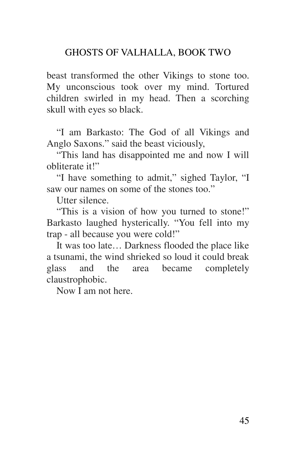beast transformed the other Vikings to stone too. My unconscious took over my mind. Tortured children swirled in my head. Then a scorching skull with eyes so black.

"I am Barkasto: The God of all Vikings and Anglo Saxons." said the beast viciously,

"This land has disappointed me and now I will obliterate it!"

"I have something to admit," sighed Taylor, "I saw our names on some of the stones too."

Utter silence.

"This is a vision of how you turned to stone!" Barkasto laughed hysterically. "You fell into my trap - all because you were cold!"

It was too late… Darkness flooded the place like a tsunami, the wind shrieked so loud it could break glass and the area became completely claustrophobic.

Now I am not here.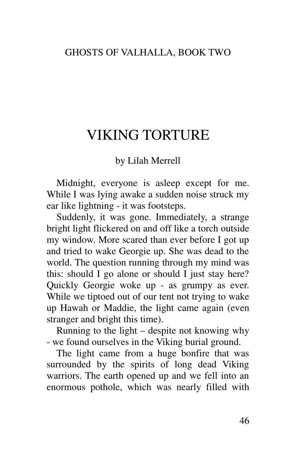## VIKING TORTURE

#### by Lilah Merrell

Midnight, everyone is asleep except for me. While I was lying awake a sudden noise struck my ear like lightning - it was footsteps.

Suddenly, it was gone. Immediately, a strange bright light flickered on and off like a torch outside my window. More scared than ever before I got up and tried to wake Georgie up. She was dead to the world. The question running through my mind was this: should I go alone or should I just stay here? Quickly Georgie woke up - as grumpy as ever. While we tiptoed out of our tent not trying to wake up Hawah or Maddie, the light came again (even stranger and bright this time).

Running to the light – despite not knowing why - we found ourselves in the Viking burial ground.

The light came from a huge bonfire that was surrounded by the spirits of long dead Viking warriors. The earth opened up and we fell into an enormous pothole, which was nearly filled with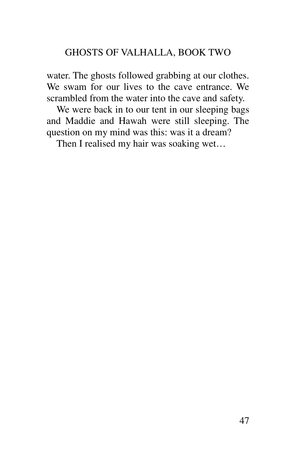water. The ghosts followed grabbing at our clothes. We swam for our lives to the cave entrance. We scrambled from the water into the cave and safety.

We were back in to our tent in our sleeping bags and Maddie and Hawah were still sleeping. The question on my mind was this: was it a dream?

Then I realised my hair was soaking wet…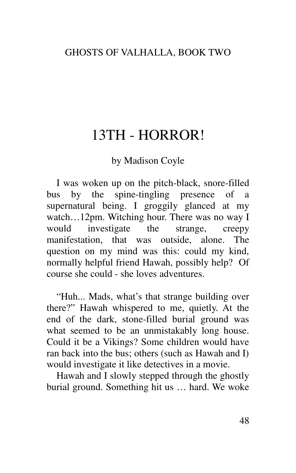## 13TH - HORROR!

#### by Madison Coyle

I was woken up on the pitch-black, snore-filled bus by the spine-tingling presence of a supernatural being. I groggily glanced at my watch…12pm. Witching hour. There was no way I would investigate the strange, creepy manifestation, that was outside, alone. The question on my mind was this: could my kind, normally helpful friend Hawah, possibly help? Of course she could - she loves adventures.

"Huh... Mads, what's that strange building over there?" Hawah whispered to me, quietly. At the end of the dark, stone-filled burial ground was what seemed to be an unmistakably long house. Could it be a Vikings? Some children would have ran back into the bus; others (such as Hawah and I) would investigate it like detectives in a movie.

Hawah and I slowly stepped through the ghostly burial ground. Something hit us … hard. We woke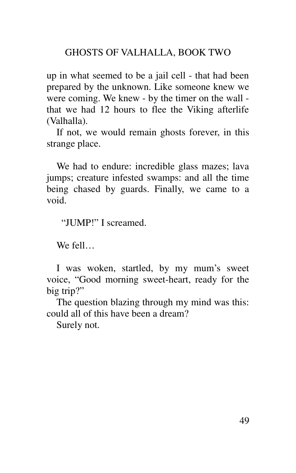up in what seemed to be a jail cell - that had been prepared by the unknown. Like someone knew we were coming. We knew - by the timer on the wall that we had 12 hours to flee the Viking afterlife (Valhalla).

If not, we would remain ghosts forever, in this strange place.

We had to endure: incredible glass mazes; lava jumps; creature infested swamps: and all the time being chased by guards. Finally, we came to a void.

"JUMP!" I screamed.

We fell…

I was woken, startled, by my mum's sweet voice, "Good morning sweet-heart, ready for the big trip?"

The question blazing through my mind was this: could all of this have been a dream?

Surely not.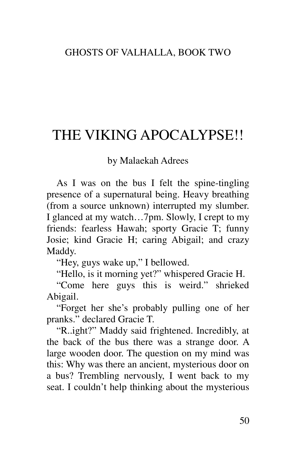# THE VIKING APOCALYPSE!!

#### by Malaekah Adrees

As I was on the bus I felt the spine-tingling presence of a supernatural being. Heavy breathing (from a source unknown) interrupted my slumber. I glanced at my watch…7pm. Slowly, I crept to my friends: fearless Hawah; sporty Gracie T; funny Josie; kind Gracie H; caring Abigail; and crazy Maddy.

"Hey, guys wake up," I bellowed.

"Hello, is it morning yet?" whispered Gracie H.

"Come here guys this is weird." shrieked Abigail.

"Forget her she's probably pulling one of her pranks." declared Gracie T.

"R..ight?" Maddy said frightened. Incredibly, at the back of the bus there was a strange door. A large wooden door. The question on my mind was this: Why was there an ancient, mysterious door on a bus? Trembling nervously, I went back to my seat. I couldn't help thinking about the mysterious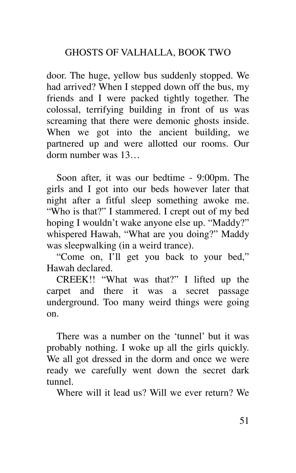door. The huge, yellow bus suddenly stopped. We had arrived? When I stepped down off the bus, my friends and I were packed tightly together. The colossal, terrifying building in front of us was screaming that there were demonic ghosts inside. When we got into the ancient building, we partnered up and were allotted our rooms. Our dorm number was 13…

Soon after, it was our bedtime - 9:00pm. The girls and I got into our beds however later that night after a fitful sleep something awoke me. "Who is that?" I stammered. I crept out of my bed hoping I wouldn't wake anyone else up. "Maddy?" whispered Hawah, "What are you doing?" Maddy was sleepwalking (in a weird trance).

"Come on, I'll get you back to your bed," Hawah declared.

CREEK!! "What was that?" I lifted up the carpet and there it was a secret passage underground. Too many weird things were going on.

There was a number on the 'tunnel' but it was probably nothing. I woke up all the girls quickly. We all got dressed in the dorm and once we were ready we carefully went down the secret dark tunnel.

Where will it lead us? Will we ever return? We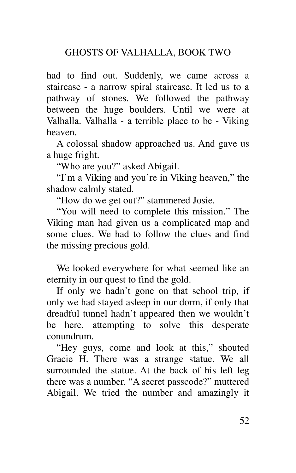had to find out. Suddenly, we came across a staircase - a narrow spiral staircase. It led us to a pathway of stones. We followed the pathway between the huge boulders. Until we were at Valhalla. Valhalla - a terrible place to be - Viking heaven.

A colossal shadow approached us. And gave us a huge fright.

"Who are you?" asked Abigail.

"I'm a Viking and you're in Viking heaven," the shadow calmly stated.

"How do we get out?" stammered Josie.

"You will need to complete this mission." The Viking man had given us a complicated map and some clues. We had to follow the clues and find the missing precious gold.

We looked everywhere for what seemed like an eternity in our quest to find the gold.

If only we hadn't gone on that school trip, if only we had stayed asleep in our dorm, if only that dreadful tunnel hadn't appeared then we wouldn't be here, attempting to solve this desperate conundrum.

"Hey guys, come and look at this," shouted Gracie H. There was a strange statue. We all surrounded the statue. At the back of his left leg there was a number. "A secret passcode?" muttered Abigail. We tried the number and amazingly it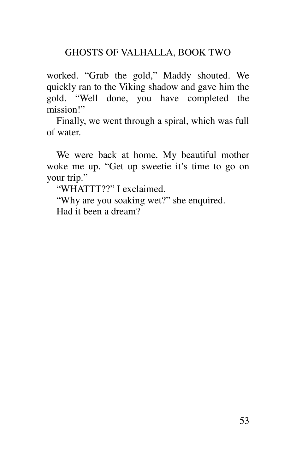worked. "Grab the gold," Maddy shouted. We quickly ran to the Viking shadow and gave him the gold. "Well done, you have completed the mission!"

Finally, we went through a spiral, which was full of water.

We were back at home. My beautiful mother woke me up. "Get up sweetie it's time to go on your trip."

"WHATTT??" I exclaimed.

"Why are you soaking wet?" she enquired. Had it been a dream?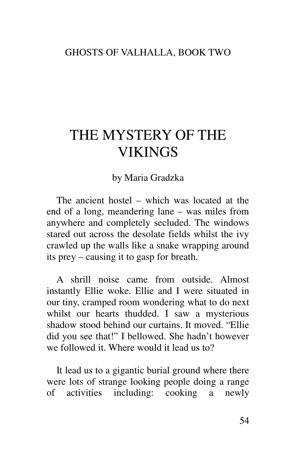# THE MYSTERY OF THE VIKINGS

by Maria Gradzka

The ancient hostel – which was located at the end of a long, meandering lane – was miles from anywhere and completely secluded. The windows stared out across the desolate fields whilst the ivy crawled up the walls like a snake wrapping around its prey – causing it to gasp for breath.

A shrill noise came from outside. Almost instantly Ellie woke. Ellie and I were situated in our tiny, cramped room wondering what to do next whilst our hearts thudded. I saw a mysterious shadow stood behind our curtains. It moved. "Ellie did you see that!" I bellowed. She hadn't however we followed it. Where would it lead us to?

It lead us to a gigantic burial ground where there were lots of strange looking people doing a range of activities including: cooking a newly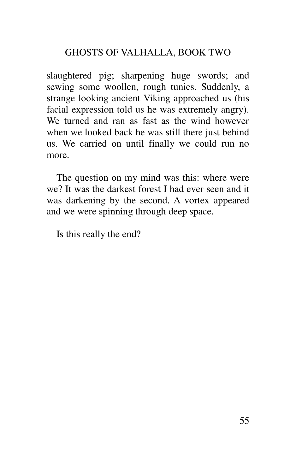slaughtered pig; sharpening huge swords; and sewing some woollen, rough tunics. Suddenly, a strange looking ancient Viking approached us (his facial expression told us he was extremely angry). We turned and ran as fast as the wind however when we looked back he was still there just behind us. We carried on until finally we could run no more.

The question on my mind was this: where were we? It was the darkest forest I had ever seen and it was darkening by the second. A vortex appeared and we were spinning through deep space.

Is this really the end?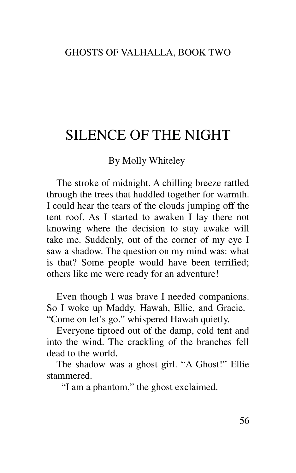## SILENCE OF THE NIGHT

#### By Molly Whiteley

The stroke of midnight. A chilling breeze rattled through the trees that huddled together for warmth. I could hear the tears of the clouds jumping off the tent roof. As I started to awaken I lay there not knowing where the decision to stay awake will take me. Suddenly, out of the corner of my eye I saw a shadow. The question on my mind was: what is that? Some people would have been terrified; others like me were ready for an adventure!

Even though I was brave I needed companions. So I woke up Maddy, Hawah, Ellie, and Gracie. "Come on let's go." whispered Hawah quietly.

Everyone tiptoed out of the damp, cold tent and into the wind. The crackling of the branches fell dead to the world.

The shadow was a ghost girl. "A Ghost!" Ellie stammered.

"I am a phantom," the ghost exclaimed.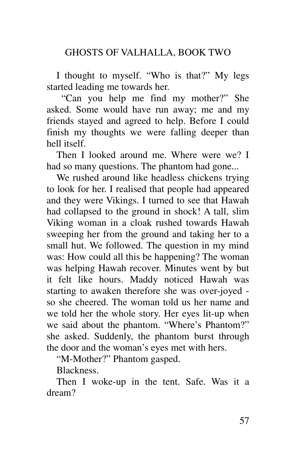I thought to myself. "Who is that?" My legs started leading me towards her.

"Can you help me find my mother?" She asked. Some would have run away; me and my friends stayed and agreed to help. Before I could finish my thoughts we were falling deeper than hell itself.

Then I looked around me. Where were we? I had so many questions. The phantom had gone...

We rushed around like headless chickens trying to look for her. I realised that people had appeared and they were Vikings. I turned to see that Hawah had collapsed to the ground in shock! A tall, slim Viking woman in a cloak rushed towards Hawah sweeping her from the ground and taking her to a small hut. We followed. The question in my mind was: How could all this be happening? The woman was helping Hawah recover. Minutes went by but it felt like hours. Maddy noticed Hawah was starting to awaken therefore she was over-joyed so she cheered. The woman told us her name and we told her the whole story. Her eyes lit-up when we said about the phantom. "Where's Phantom?" she asked. Suddenly, the phantom burst through the door and the woman's eyes met with hers.

"M-Mother?" Phantom gasped.

Blackness.

Then I woke-up in the tent. Safe. Was it a dream?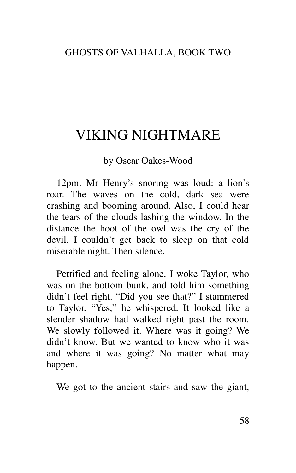## VIKING NIGHTMARE

#### by Oscar Oakes-Wood

12pm. Mr Henry's snoring was loud: a lion's roar. The waves on the cold, dark sea were crashing and booming around. Also, I could hear the tears of the clouds lashing the window. In the distance the hoot of the owl was the cry of the devil. I couldn't get back to sleep on that cold miserable night. Then silence.

Petrified and feeling alone, I woke Taylor, who was on the bottom bunk, and told him something didn't feel right. "Did you see that?" I stammered to Taylor. "Yes," he whispered. It looked like a slender shadow had walked right past the room. We slowly followed it. Where was it going? We didn't know. But we wanted to know who it was and where it was going? No matter what may happen.

We got to the ancient stairs and saw the giant,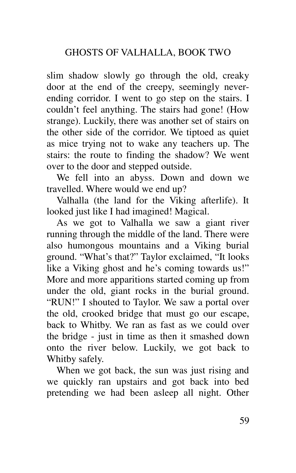slim shadow slowly go through the old, creaky door at the end of the creepy, seemingly neverending corridor. I went to go step on the stairs. I couldn't feel anything. The stairs had gone! (How strange). Luckily, there was another set of stairs on the other side of the corridor. We tiptoed as quiet as mice trying not to wake any teachers up. The stairs: the route to finding the shadow? We went over to the door and stepped outside.

We fell into an abyss. Down and down we travelled. Where would we end up?

Valhalla (the land for the Viking afterlife). It looked just like I had imagined! Magical.

As we got to Valhalla we saw a giant river running through the middle of the land. There were also humongous mountains and a Viking burial ground. "What's that?" Taylor exclaimed, "It looks like a Viking ghost and he's coming towards us!" More and more apparitions started coming up from under the old, giant rocks in the burial ground. "RUN!" I shouted to Taylor. We saw a portal over the old, crooked bridge that must go our escape, back to Whitby. We ran as fast as we could over the bridge - just in time as then it smashed down onto the river below. Luckily, we got back to Whitby safely.

When we got back, the sun was just rising and we quickly ran upstairs and got back into bed pretending we had been asleep all night. Other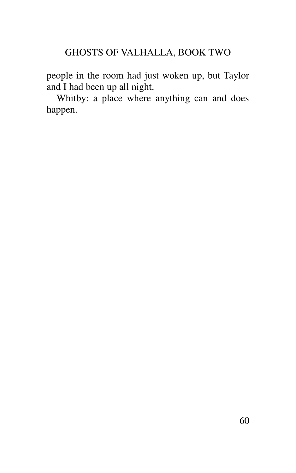people in the room had just woken up, but Taylor and I had been up all night.

Whitby: a place where anything can and does happen.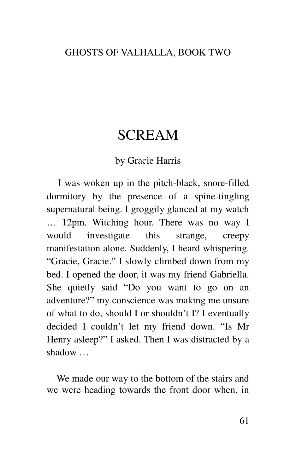### SCREAM

#### by Gracie Harris

I was woken up in the pitch-black, snore-filled dormitory by the presence of a spine-tingling supernatural being. I groggily glanced at my watch … 12pm. Witching hour. There was no way I would investigate this strange, creepy manifestation alone. Suddenly, I heard whispering. "Gracie, Gracie." I slowly climbed down from my bed. I opened the door, it was my friend Gabriella. She quietly said "Do you want to go on an adventure?" my conscience was making me unsure of what to do, should I or shouldn't I? I eventually decided I couldn't let my friend down. "Is Mr Henry asleep?" I asked. Then I was distracted by a shadow …

We made our way to the bottom of the stairs and we were heading towards the front door when, in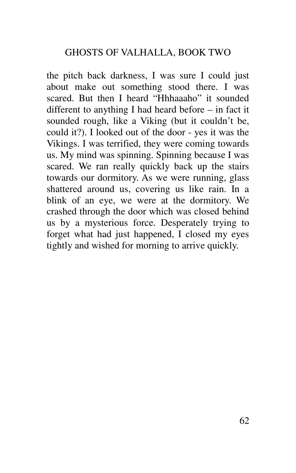the pitch back darkness, I was sure I could just about make out something stood there. I was scared. But then I heard "Hhhaaaho" it sounded different to anything I had heard before – in fact it sounded rough, like a Viking (but it couldn't be, could it?). I looked out of the door - yes it was the Vikings. I was terrified, they were coming towards us. My mind was spinning. Spinning because I was scared. We ran really quickly back up the stairs towards our dormitory. As we were running, glass shattered around us, covering us like rain. In a blink of an eye, we were at the dormitory. We crashed through the door which was closed behind us by a mysterious force. Desperately trying to forget what had just happened, I closed my eyes tightly and wished for morning to arrive quickly.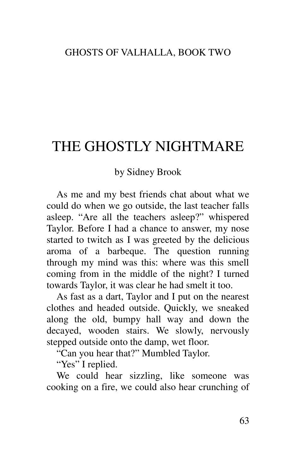# THE GHOSTLY NIGHTMARE

#### by Sidney Brook

As me and my best friends chat about what we could do when we go outside, the last teacher falls asleep. "Are all the teachers asleep?" whispered Taylor. Before I had a chance to answer, my nose started to twitch as I was greeted by the delicious aroma of a barbeque. The question running through my mind was this: where was this smell coming from in the middle of the night? I turned towards Taylor, it was clear he had smelt it too.

As fast as a dart, Taylor and I put on the nearest clothes and headed outside. Quickly, we sneaked along the old, bumpy hall way and down the decayed, wooden stairs. We slowly, nervously stepped outside onto the damp, wet floor.

"Can you hear that?" Mumbled Taylor.

"Yes" I replied.

We could hear sizzling, like someone was cooking on a fire, we could also hear crunching of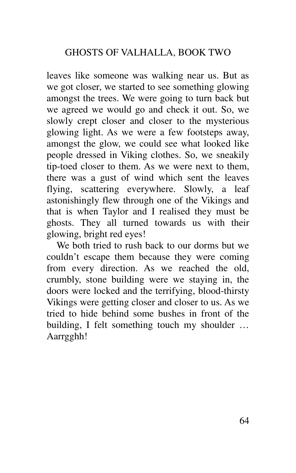leaves like someone was walking near us. But as we got closer, we started to see something glowing amongst the trees. We were going to turn back but we agreed we would go and check it out. So, we slowly crept closer and closer to the mysterious glowing light. As we were a few footsteps away, amongst the glow, we could see what looked like people dressed in Viking clothes. So, we sneakily tip-toed closer to them. As we were next to them, there was a gust of wind which sent the leaves flying, scattering everywhere. Slowly, a leaf astonishingly flew through one of the Vikings and that is when Taylor and I realised they must be ghosts. They all turned towards us with their glowing, bright red eyes!

We both tried to rush back to our dorms but we couldn't escape them because they were coming from every direction. As we reached the old, crumbly, stone building were we staying in, the doors were locked and the terrifying, blood-thirsty Vikings were getting closer and closer to us. As we tried to hide behind some bushes in front of the building, I felt something touch my shoulder … Aarrgghh!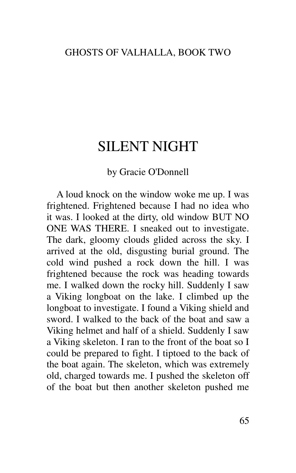## SILENT NIGHT

#### by Gracie O'Donnell

A loud knock on the window woke me up. I was frightened. Frightened because I had no idea who it was. I looked at the dirty, old window BUT NO ONE WAS THERE. I sneaked out to investigate. The dark, gloomy clouds glided across the sky. I arrived at the old, disgusting burial ground. The cold wind pushed a rock down the hill. I was frightened because the rock was heading towards me. I walked down the rocky hill. Suddenly I saw a Viking longboat on the lake. I climbed up the longboat to investigate. I found a Viking shield and sword. I walked to the back of the boat and saw a Viking helmet and half of a shield. Suddenly I saw a Viking skeleton. I ran to the front of the boat so I could be prepared to fight. I tiptoed to the back of the boat again. The skeleton, which was extremely old, charged towards me. I pushed the skeleton off of the boat but then another skeleton pushed me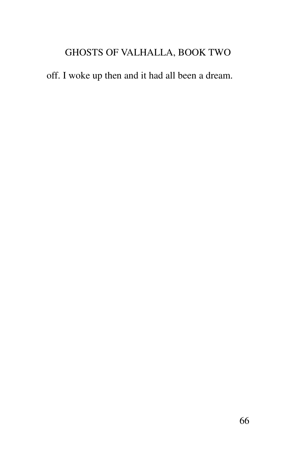off. I woke up then and it had all been a dream.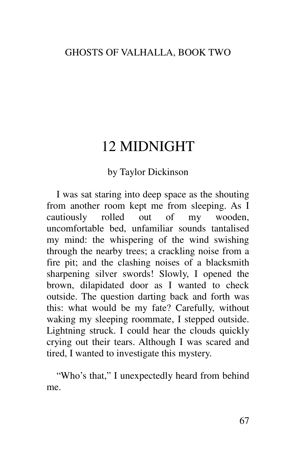# 12 MIDNIGHT

### by Taylor Dickinson

I was sat staring into deep space as the shouting from another room kept me from sleeping. As I cautiously rolled out of my wooden, uncomfortable bed, unfamiliar sounds tantalised my mind: the whispering of the wind swishing through the nearby trees; a crackling noise from a fire pit; and the clashing noises of a blacksmith sharpening silver swords! Slowly, I opened the brown, dilapidated door as I wanted to check outside. The question darting back and forth was this: what would be my fate? Carefully, without waking my sleeping roommate, I stepped outside. Lightning struck. I could hear the clouds quickly crying out their tears. Although I was scared and tired, I wanted to investigate this mystery.

"Who's that," I unexpectedly heard from behind me.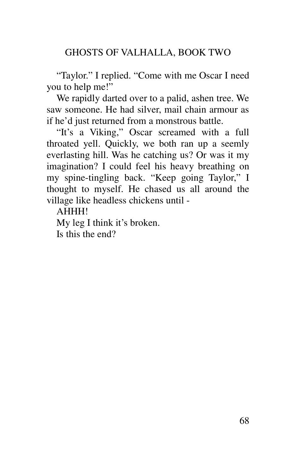"Taylor." I replied. "Come with me Oscar I need you to help me!"

We rapidly darted over to a palid, ashen tree. We saw someone. He had silver, mail chain armour as if he'd just returned from a monstrous battle.

"It's a Viking," Oscar screamed with a full throated yell. Quickly, we both ran up a seemly everlasting hill. Was he catching us? Or was it my imagination? I could feel his heavy breathing on my spine-tingling back. "Keep going Taylor," I thought to myself. He chased us all around the village like headless chickens until -

AHHH!

My leg I think it's broken. Is this the end?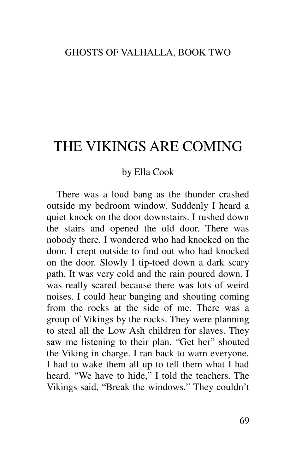# THE VIKINGS ARE COMING

#### by Ella Cook

There was a loud bang as the thunder crashed outside my bedroom window. Suddenly I heard a quiet knock on the door downstairs. I rushed down the stairs and opened the old door. There was nobody there. I wondered who had knocked on the door. I crept outside to find out who had knocked on the door. Slowly I tip-toed down a dark scary path. It was very cold and the rain poured down. I was really scared because there was lots of weird noises. I could hear banging and shouting coming from the rocks at the side of me. There was a group of Vikings by the rocks. They were planning to steal all the Low Ash children for slaves. They saw me listening to their plan. "Get her" shouted the Viking in charge. I ran back to warn everyone. I had to wake them all up to tell them what I had heard. "We have to hide," I told the teachers. The Vikings said, "Break the windows." They couldn't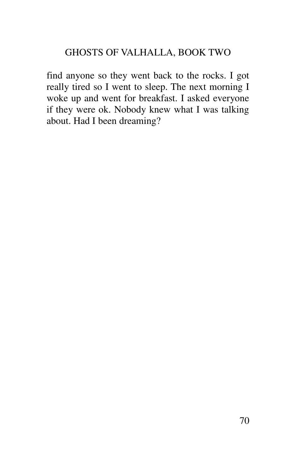find anyone so they went back to the rocks. I got really tired so I went to sleep. The next morning I woke up and went for breakfast. I asked everyone if they were ok. Nobody knew what I was talking about. Had I been dreaming?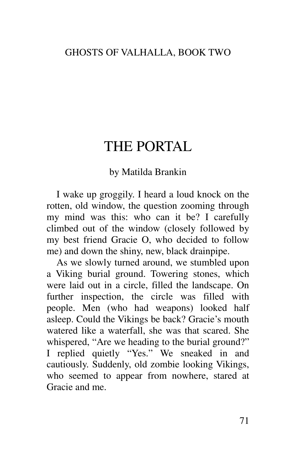# THE PORTAL

### by Matilda Brankin

I wake up groggily. I heard a loud knock on the rotten, old window, the question zooming through my mind was this: who can it be? I carefully climbed out of the window (closely followed by my best friend Gracie O, who decided to follow me) and down the shiny, new, black drainpipe.

As we slowly turned around, we stumbled upon a Viking burial ground. Towering stones, which were laid out in a circle, filled the landscape. On further inspection, the circle was filled with people. Men (who had weapons) looked half asleep. Could the Vikings be back? Gracie's mouth watered like a waterfall, she was that scared. She whispered, "Are we heading to the burial ground?" I replied quietly "Yes." We sneaked in and cautiously. Suddenly, old zombie looking Vikings, who seemed to appear from nowhere, stared at Gracie and me.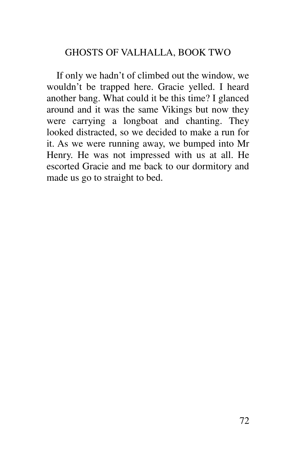If only we hadn't of climbed out the window, we wouldn't be trapped here. Gracie yelled. I heard another bang. What could it be this time? I glanced around and it was the same Vikings but now they were carrying a longboat and chanting. They looked distracted, so we decided to make a run for it. As we were running away, we bumped into Mr Henry. He was not impressed with us at all. He escorted Gracie and me back to our dormitory and made us go to straight to bed.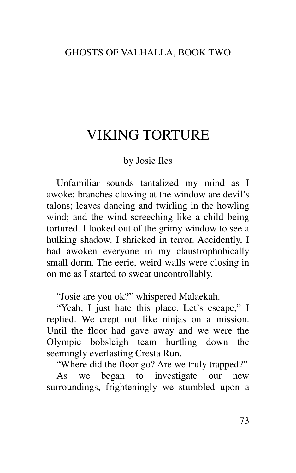## VIKING TORTURE

### by Josie Iles

Unfamiliar sounds tantalized my mind as I awoke: branches clawing at the window are devil's talons; leaves dancing and twirling in the howling wind; and the wind screeching like a child being tortured. I looked out of the grimy window to see a hulking shadow. I shrieked in terror. Accidently, I had awoken everyone in my claustrophobically small dorm. The eerie, weird walls were closing in on me as I started to sweat uncontrollably.

"Josie are you ok?" whispered Malaekah.

"Yeah, I just hate this place. Let's escape," I replied. We crept out like ninjas on a mission. Until the floor had gave away and we were the Olympic bobsleigh team hurtling down the seemingly everlasting Cresta Run.

"Where did the floor go? Are we truly trapped?"

As we began to investigate our new surroundings, frighteningly we stumbled upon a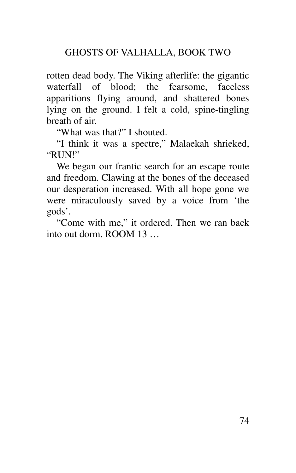rotten dead body. The Viking afterlife: the gigantic waterfall of blood; the fearsome, faceless apparitions flying around, and shattered bones lying on the ground. I felt a cold, spine-tingling breath of air.

"What was that?" I shouted.

"I think it was a spectre," Malaekah shrieked, "RUN!"

We began our frantic search for an escape route and freedom. Clawing at the bones of the deceased our desperation increased. With all hope gone we were miraculously saved by a voice from 'the gods'.

"Come with me," it ordered. Then we ran back into out dorm. ROOM 13 …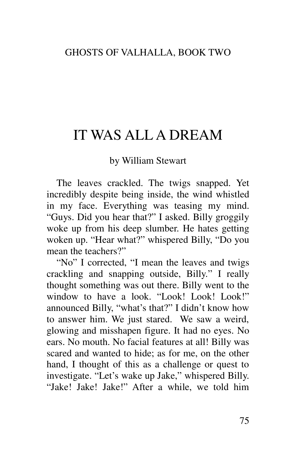# IT WAS ALL A DREAM

### by William Stewart

The leaves crackled. The twigs snapped. Yet incredibly despite being inside, the wind whistled in my face. Everything was teasing my mind. "Guys. Did you hear that?" I asked. Billy groggily woke up from his deep slumber. He hates getting woken up. "Hear what?" whispered Billy, "Do you mean the teachers?"

"No" I corrected, "I mean the leaves and twigs crackling and snapping outside, Billy." I really thought something was out there. Billy went to the window to have a look. "Look! Look! Look!" announced Billy, "what's that?" I didn't know how to answer him. We just stared. We saw a weird, glowing and misshapen figure. It had no eyes. No ears. No mouth. No facial features at all! Billy was scared and wanted to hide; as for me, on the other hand, I thought of this as a challenge or quest to investigate. "Let's wake up Jake," whispered Billy. "Jake! Jake! Jake!" After a while, we told him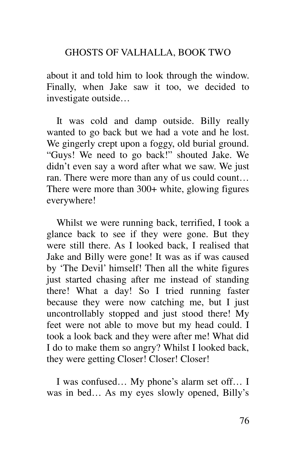### GHOSTS OF VALHALLA, BOOK TWO

about it and told him to look through the window. Finally, when Jake saw it too, we decided to investigate outside…

It was cold and damp outside. Billy really wanted to go back but we had a vote and he lost. We gingerly crept upon a foggy, old burial ground. "Guys! We need to go back!" shouted Jake. We didn't even say a word after what we saw. We just ran. There were more than any of us could count… There were more than 300+ white, glowing figures everywhere!

Whilst we were running back, terrified, I took a glance back to see if they were gone. But they were still there. As I looked back, I realised that Jake and Billy were gone! It was as if was caused by 'The Devil' himself! Then all the white figures just started chasing after me instead of standing there! What a day! So I tried running faster because they were now catching me, but I just uncontrollably stopped and just stood there! My feet were not able to move but my head could. I took a look back and they were after me! What did I do to make them so angry? Whilst I looked back, they were getting Closer! Closer! Closer!

I was confused… My phone's alarm set off… I was in bed… As my eyes slowly opened, Billy's